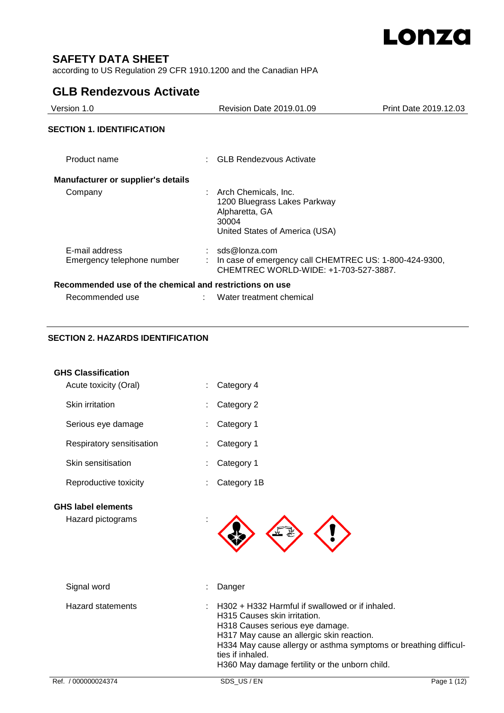

# **SAFETY DATA SHEET**

according to US Regulation 29 CFR 1910.1200 and the Canadian HPA

# **GLB Rendezvous Activate**

| Version 1.0                                             | Revision Date 2019.01.09                                                                                             | Print Date 2019.12.03 |
|---------------------------------------------------------|----------------------------------------------------------------------------------------------------------------------|-----------------------|
| <b>SECTION 1. IDENTIFICATION</b>                        |                                                                                                                      |                       |
| Product name                                            | : GLB Rendezvous Activate                                                                                            |                       |
| <b>Manufacturer or supplier's details</b>               |                                                                                                                      |                       |
| Company                                                 | : Arch Chemicals, Inc.<br>1200 Bluegrass Lakes Parkway<br>Alpharetta, GA<br>30004<br>United States of America (USA)  |                       |
| E-mail address<br>Emergency telephone number            | $:$ sds@lonza.com<br>In case of emergency call CHEMTREC US: 1-800-424-9300,<br>CHEMTREC WORLD-WIDE: +1-703-527-3887. |                       |
| Recommended use of the chemical and restrictions on use |                                                                                                                      |                       |
| Recommended use                                         | Water treatment chemical                                                                                             |                       |

# **SECTION 2. HAZARDS IDENTIFICATION**

| <b>GHS Classification</b>                      |                                                                                                                                                                                                                                                                                                           |             |
|------------------------------------------------|-----------------------------------------------------------------------------------------------------------------------------------------------------------------------------------------------------------------------------------------------------------------------------------------------------------|-------------|
| Acute toxicity (Oral)                          | Category 4                                                                                                                                                                                                                                                                                                |             |
| Skin irritation                                | Category 2                                                                                                                                                                                                                                                                                                |             |
| Serious eye damage                             | Category 1                                                                                                                                                                                                                                                                                                |             |
| Respiratory sensitisation                      | Category 1                                                                                                                                                                                                                                                                                                |             |
| Skin sensitisation                             | Category 1                                                                                                                                                                                                                                                                                                |             |
| Reproductive toxicity                          | Category 1B                                                                                                                                                                                                                                                                                               |             |
| <b>GHS label elements</b><br>Hazard pictograms |                                                                                                                                                                                                                                                                                                           |             |
| Signal word                                    | Danger                                                                                                                                                                                                                                                                                                    |             |
| <b>Hazard statements</b>                       | H302 + H332 Harmful if swallowed or if inhaled.<br>H315 Causes skin irritation.<br>H318 Causes serious eye damage.<br>H317 May cause an allergic skin reaction.<br>H334 May cause allergy or asthma symptoms or breathing difficul-<br>ties if inhaled.<br>H360 May damage fertility or the unborn child. |             |
| Ref. / 000000024374                            | SDS_US/EN                                                                                                                                                                                                                                                                                                 | Page 1 (12) |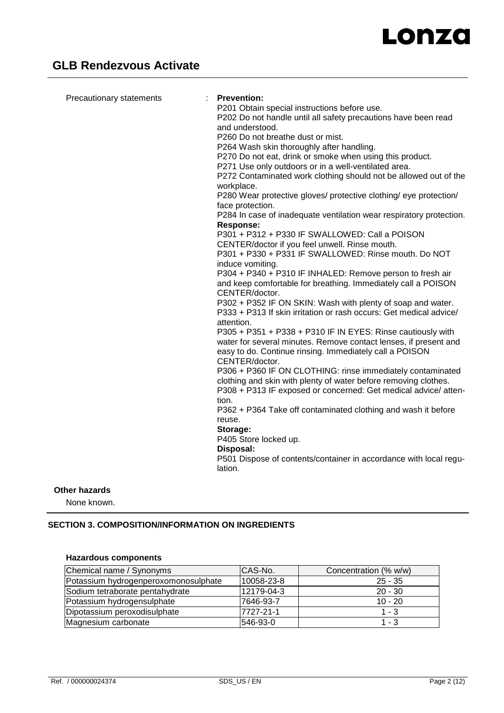| lation. | Precautionary statements | <b>Prevention:</b><br>P201 Obtain special instructions before use.<br>P202 Do not handle until all safety precautions have been read<br>and understood.<br>P260 Do not breathe dust or mist.<br>P264 Wash skin thoroughly after handling.<br>P270 Do not eat, drink or smoke when using this product.<br>P271 Use only outdoors or in a well-ventilated area.<br>P272 Contaminated work clothing should not be allowed out of the<br>workplace.<br>P280 Wear protective gloves/ protective clothing/ eye protection/<br>face protection.<br>P284 In case of inadequate ventilation wear respiratory protection.<br>Response:<br>P301 + P312 + P330 IF SWALLOWED: Call a POISON<br>CENTER/doctor if you feel unwell. Rinse mouth.<br>P301 + P330 + P331 IF SWALLOWED: Rinse mouth. Do NOT<br>induce vomiting.<br>P304 + P340 + P310 IF INHALED: Remove person to fresh air<br>and keep comfortable for breathing. Immediately call a POISON<br>CENTER/doctor.<br>P302 + P352 IF ON SKIN: Wash with plenty of soap and water.<br>P333 + P313 If skin irritation or rash occurs: Get medical advice/<br>attention.<br>P305 + P351 + P338 + P310 IF IN EYES: Rinse cautiously with<br>water for several minutes. Remove contact lenses, if present and<br>easy to do. Continue rinsing. Immediately call a POISON<br>CENTER/doctor.<br>P306 + P360 IF ON CLOTHING: rinse immediately contaminated<br>clothing and skin with plenty of water before removing clothes.<br>P308 + P313 IF exposed or concerned: Get medical advice/atten-<br>tion.<br>P362 + P364 Take off contaminated clothing and wash it before<br>reuse.<br>Storage:<br>P405 Store locked up.<br>Disposal:<br>P501 Dispose of contents/container in accordance with local regu- |
|---------|--------------------------|-----------------------------------------------------------------------------------------------------------------------------------------------------------------------------------------------------------------------------------------------------------------------------------------------------------------------------------------------------------------------------------------------------------------------------------------------------------------------------------------------------------------------------------------------------------------------------------------------------------------------------------------------------------------------------------------------------------------------------------------------------------------------------------------------------------------------------------------------------------------------------------------------------------------------------------------------------------------------------------------------------------------------------------------------------------------------------------------------------------------------------------------------------------------------------------------------------------------------------------------------------------------------------------------------------------------------------------------------------------------------------------------------------------------------------------------------------------------------------------------------------------------------------------------------------------------------------------------------------------------------------------------------------------------------------------------------------------------------------------------------|
|---------|--------------------------|-----------------------------------------------------------------------------------------------------------------------------------------------------------------------------------------------------------------------------------------------------------------------------------------------------------------------------------------------------------------------------------------------------------------------------------------------------------------------------------------------------------------------------------------------------------------------------------------------------------------------------------------------------------------------------------------------------------------------------------------------------------------------------------------------------------------------------------------------------------------------------------------------------------------------------------------------------------------------------------------------------------------------------------------------------------------------------------------------------------------------------------------------------------------------------------------------------------------------------------------------------------------------------------------------------------------------------------------------------------------------------------------------------------------------------------------------------------------------------------------------------------------------------------------------------------------------------------------------------------------------------------------------------------------------------------------------------------------------------------------------|

# **Other hazards**

None known.

# **SECTION 3. COMPOSITION/INFORMATION ON INGREDIENTS**

# **Hazardous components**

| Chemical name / Synonyms             | CAS-No.    | Concentration (% w/w) |
|--------------------------------------|------------|-----------------------|
| Potassium hydrogenperoxomonosulphate | 10058-23-8 | $25 - 35$             |
| Sodium tetraborate pentahydrate      | 12179-04-3 | $20 - 30$             |
| Potassium hydrogensulphate           | 7646-93-7  | $10 - 20$             |
| Dipotassium peroxodisulphate         | 7727-21-1  | $1 - 3$               |
| Magnesium carbonate                  | 546-93-0   | $1 - 3$               |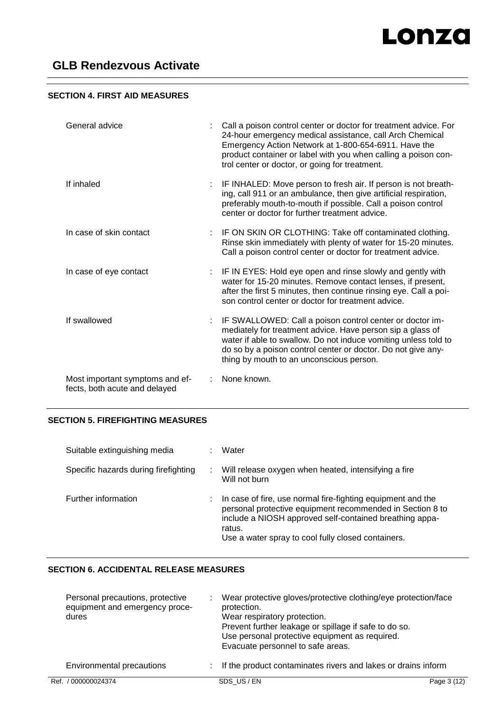# **SECTION 4. FIRST AID MEASURES**

| General advice                                                   | Call a poison control center or doctor for treatment advice. For<br>24-hour emergency medical assistance, call Arch Chemical<br>Emergency Action Network at 1-800-654-6911. Have the<br>product container or label with you when calling a poison con-<br>trol center or doctor, or going for treatment. |
|------------------------------------------------------------------|----------------------------------------------------------------------------------------------------------------------------------------------------------------------------------------------------------------------------------------------------------------------------------------------------------|
| If inhaled                                                       | IF INHALED: Move person to fresh air. If person is not breath-<br>ing, call 911 or an ambulance, then give artificial respiration,<br>preferably mouth-to-mouth if possible. Call a poison control<br>center or doctor for further treatment advice.                                                     |
| In case of skin contact                                          | IF ON SKIN OR CLOTHING: Take off contaminated clothing.<br>Rinse skin immediately with plenty of water for 15-20 minutes.<br>Call a poison control center or doctor for treatment advice.                                                                                                                |
| In case of eye contact                                           | IF IN EYES: Hold eye open and rinse slowly and gently with<br>water for 15-20 minutes. Remove contact lenses, if present,<br>after the first 5 minutes, then continue rinsing eye. Call a poi-<br>son control center or doctor for treatment advice.                                                     |
| If swallowed                                                     | IF SWALLOWED: Call a poison control center or doctor im-<br>mediately for treatment advice. Have person sip a glass of<br>water if able to swallow. Do not induce vomiting unless told to<br>do so by a poison control center or doctor. Do not give any-<br>thing by mouth to an unconscious person.    |
| Most important symptoms and ef-<br>fects, both acute and delayed | None known.                                                                                                                                                                                                                                                                                              |

# **SECTION 5. FIREFIGHTING MEASURES**

| Suitable extinguishing media<br>٠    | Water                                                                                                                                                                                                                                               |
|--------------------------------------|-----------------------------------------------------------------------------------------------------------------------------------------------------------------------------------------------------------------------------------------------------|
| Specific hazards during firefighting | Will release oxygen when heated, intensifying a fire<br>Will not burn                                                                                                                                                                               |
| Further information<br>÷             | In case of fire, use normal fire-fighting equipment and the<br>personal protective equipment recommended in Section 8 to<br>include a NIOSH approved self-contained breathing appa-<br>ratus.<br>Use a water spray to cool fully closed containers. |

# **SECTION 6. ACCIDENTAL RELEASE MEASURES**

| Personal precautions, protective<br>equipment and emergency proce-<br>dures | Wear protective gloves/protective clothing/eye protection/face<br>protection.<br>Wear respiratory protection.<br>Prevent further leakage or spillage if safe to do so.<br>Use personal protective equipment as required.<br>Evacuate personnel to safe areas. |             |
|-----------------------------------------------------------------------------|---------------------------------------------------------------------------------------------------------------------------------------------------------------------------------------------------------------------------------------------------------------|-------------|
| Environmental precautions                                                   | If the product contaminates rivers and lakes or drains inform                                                                                                                                                                                                 |             |
| Ref. / 000000024374                                                         | SDS US/EN                                                                                                                                                                                                                                                     | Page 3 (12) |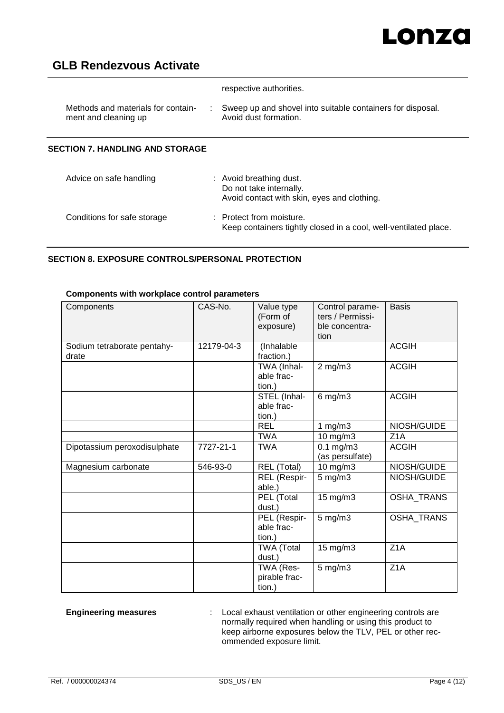# Lonza

# **GLB Rendezvous Activate**

|                                                            | respective authorities.                                                                           |  |
|------------------------------------------------------------|---------------------------------------------------------------------------------------------------|--|
| Methods and materials for contain-<br>ment and cleaning up | Sweep up and shovel into suitable containers for disposal.<br>Avoid dust formation.               |  |
| <b>SECTION 7. HANDLING AND STORAGE</b>                     |                                                                                                   |  |
| Advice on safe handling                                    | : Avoid breathing dust.<br>Do not take internally.<br>Avoid contact with skin, eyes and clothing. |  |

Conditions for safe storage : Protect from moisture. Keep containers tightly closed in a cool, well-ventilated place.

## **SECTION 8. EXPOSURE CONTROLS/PERSONAL PROTECTION**

# **Components with workplace control parameters**

| Components                           | CAS-No.    | Value type<br>(Form of<br>exposure)  | Control parame-<br>ters / Permissi-<br>ble concentra-<br>tion | <b>Basis</b>      |
|--------------------------------------|------------|--------------------------------------|---------------------------------------------------------------|-------------------|
| Sodium tetraborate pentahy-<br>drate | 12179-04-3 | (Inhalable<br>fraction.)             |                                                               | <b>ACGIH</b>      |
|                                      |            | TWA (Inhal-<br>able frac-<br>tion.)  | $2$ mg/m $3$                                                  | <b>ACGIH</b>      |
|                                      |            | STEL (Inhal-<br>able frac-<br>tion.) | $6$ mg/m $3$                                                  | <b>ACGIH</b>      |
|                                      |            | <b>REL</b>                           | 1 $mg/m3$                                                     | NIOSH/GUIDE       |
|                                      |            | <b>TWA</b>                           | 10 mg/m3                                                      | Z <sub>1</sub> A  |
| Dipotassium peroxodisulphate         | 7727-21-1  | <b>TWA</b>                           | $0.1$ mg/m $3$<br>(as persulfate)                             | <b>ACGIH</b>      |
| Magnesium carbonate                  | 546-93-0   | <b>REL (Total)</b>                   | 10 mg/m3                                                      | NIOSH/GUIDE       |
|                                      |            | REL (Respir-<br>able.)               | $5$ mg/m $3$                                                  | NIOSH/GUIDE       |
|                                      |            | PEL (Total<br>dust.)                 | 15 mg/m3                                                      | <b>OSHA_TRANS</b> |
|                                      |            | PEL (Respir-<br>able frac-<br>tion.) | $5$ mg/m $3$                                                  | <b>OSHA_TRANS</b> |
|                                      |            | <b>TWA</b> (Total<br>dust.)          | 15 mg/m3                                                      | Z <sub>1</sub> A  |
|                                      |            | TWA (Res-<br>pirable frac-<br>tion.) | $5$ mg/m $3$                                                  | Z <sub>1</sub> A  |

**Engineering measures** : Local exhaust ventilation or other engineering controls are normally required when handling or using this product to keep airborne exposures below the TLV, PEL or other recommended exposure limit.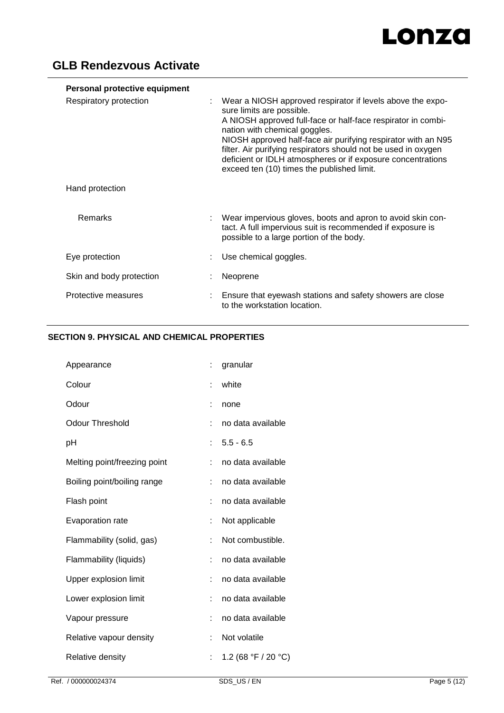| Personal protective equipment |                                                                                                                                                                                                                                                                                                                                                                                                                                          |
|-------------------------------|------------------------------------------------------------------------------------------------------------------------------------------------------------------------------------------------------------------------------------------------------------------------------------------------------------------------------------------------------------------------------------------------------------------------------------------|
| Respiratory protection        | Wear a NIOSH approved respirator if levels above the expo-<br>sure limits are possible.<br>A NIOSH approved full-face or half-face respirator in combi-<br>nation with chemical goggles.<br>NIOSH approved half-face air purifying respirator with an N95<br>filter. Air purifying respirators should not be used in oxygen<br>deficient or IDLH atmospheres or if exposure concentrations<br>exceed ten (10) times the published limit. |
| Hand protection               |                                                                                                                                                                                                                                                                                                                                                                                                                                          |
| Remarks                       | Wear impervious gloves, boots and apron to avoid skin con-<br>tact. A full impervious suit is recommended if exposure is<br>possible to a large portion of the body.                                                                                                                                                                                                                                                                     |
| Eye protection                | Use chemical goggles.                                                                                                                                                                                                                                                                                                                                                                                                                    |
| Skin and body protection      | Neoprene                                                                                                                                                                                                                                                                                                                                                                                                                                 |
| Protective measures           | Ensure that eyewash stations and safety showers are close<br>to the workstation location.                                                                                                                                                                                                                                                                                                                                                |

# **SECTION 9. PHYSICAL AND CHEMICAL PROPERTIES**

| Appearance                   |    | granular            |
|------------------------------|----|---------------------|
| Colour                       | t  | white               |
| Odour                        |    | none                |
| <b>Odour Threshold</b>       | t. | no data available   |
| pH                           | ÷  | $5.5 - 6.5$         |
| Melting point/freezing point | t. | no data available   |
| Boiling point/boiling range  | ÷  | no data available   |
| Flash point                  | ÷  | no data available   |
| Evaporation rate             |    | Not applicable      |
| Flammability (solid, gas)    | t  | Not combustible.    |
| Flammability (liquids)       | ÷  | no data available   |
| Upper explosion limit        |    | no data available   |
| Lower explosion limit        | t  | no data available   |
| Vapour pressure              | t  | no data available   |
| Relative vapour density      | t  | Not volatile        |
| Relative density             | t  | 1.2 (68 °F / 20 °C) |
|                              |    |                     |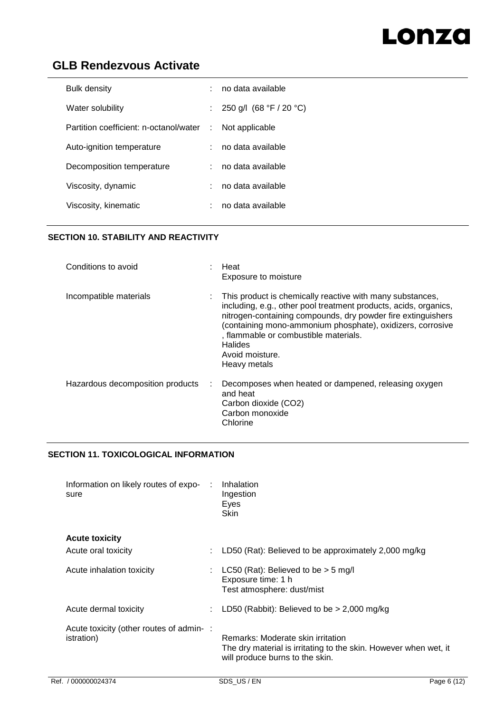# Lonza

# **GLB Rendezvous Activate**

| <b>Bulk density</b>                    | ÷.            | no data available         |
|----------------------------------------|---------------|---------------------------|
| Water solubility                       | ÷.            | 250 g/l $(68 °F / 20 °C)$ |
| Partition coefficient: n-octanol/water | -11           | Not applicable            |
| Auto-ignition temperature              | ÷.            | no data available         |
| Decomposition temperature              | $\mathcal{L}$ | no data available         |
| Viscosity, dynamic                     | ÷.            | no data available         |
| Viscosity, kinematic                   |               | no data available         |

# **SECTION 10. STABILITY AND REACTIVITY**

| Conditions to avoid                   | Heat<br>Exposure to moisture                                                                                                                                                                                                                                                                                                                       |
|---------------------------------------|----------------------------------------------------------------------------------------------------------------------------------------------------------------------------------------------------------------------------------------------------------------------------------------------------------------------------------------------------|
| Incompatible materials                | This product is chemically reactive with many substances,<br>including, e.g., other pool treatment products, acids, organics,<br>nitrogen-containing compounds, dry powder fire extinguishers<br>(containing mono-ammonium phosphate), oxidizers, corrosive<br>, flammable or combustible materials.<br>Halides<br>Avoid moisture.<br>Heavy metals |
| Hazardous decomposition products<br>÷ | Decomposes when heated or dampened, releasing oxygen<br>and heat<br>Carbon dioxide (CO2)<br>Carbon monoxide<br>Chlorine                                                                                                                                                                                                                            |

# **SECTION 11. TOXICOLOGICAL INFORMATION**

| Information on likely routes of expo-<br>sure                 | Inhalation<br>Ingestion<br>Eyes<br><b>Skin</b>                                                                                           |
|---------------------------------------------------------------|------------------------------------------------------------------------------------------------------------------------------------------|
| <b>Acute toxicity</b>                                         |                                                                                                                                          |
| Acute oral toxicity                                           | LD50 (Rat): Believed to be approximately 2,000 mg/kg                                                                                     |
| Acute inhalation toxicity                                     | LC50 (Rat): Believed to be $>$ 5 mg/l<br>Exposure time: 1 h<br>Test atmosphere: dust/mist                                                |
| Acute dermal toxicity                                         | LD50 (Rabbit): Believed to be $>$ 2,000 mg/kg                                                                                            |
| Acute toxicity (other routes of admin-:<br><i>istration</i> ) | Remarks: Moderate skin irritation<br>The dry material is irritating to the skin. However when wet, it<br>will produce burns to the skin. |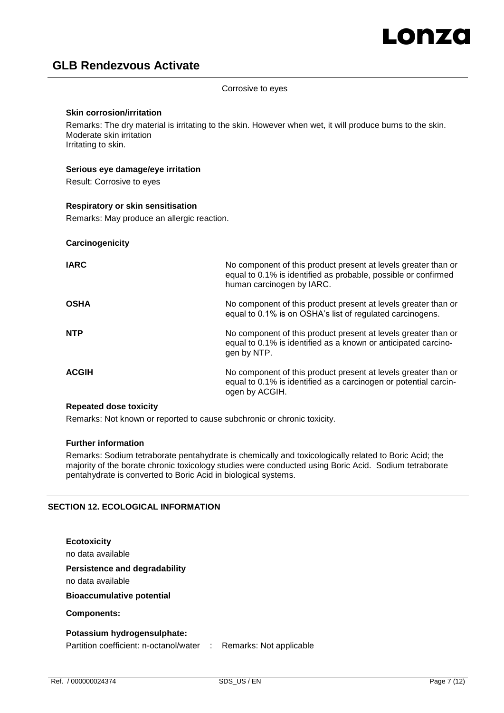Corrosive to eyes

#### **Skin corrosion/irritation**

Remarks: The dry material is irritating to the skin. However when wet, it will produce burns to the skin. Moderate skin irritation Irritating to skin.

#### **Serious eye damage/eye irritation**

Result: Corrosive to eyes

#### **Respiratory or skin sensitisation**

Remarks: May produce an allergic reaction.

#### **Carcinogenicity**

| <b>IARC</b>  | No component of this product present at levels greater than or<br>equal to 0.1% is identified as probable, possible or confirmed<br>human carcinogen by IARC. |
|--------------|---------------------------------------------------------------------------------------------------------------------------------------------------------------|
| <b>OSHA</b>  | No component of this product present at levels greater than or<br>equal to 0.1% is on OSHA's list of regulated carcinogens.                                   |
| <b>NTP</b>   | No component of this product present at levels greater than or<br>equal to 0.1% is identified as a known or anticipated carcino-<br>gen by NTP.               |
| <b>ACGIH</b> | No component of this product present at levels greater than or<br>equal to 0.1% is identified as a carcinogen or potential carcin-<br>ogen by ACGIH.          |

#### **Repeated dose toxicity**

Remarks: Not known or reported to cause subchronic or chronic toxicity.

#### **Further information**

Remarks: Sodium tetraborate pentahydrate is chemically and toxicologically related to Boric Acid; the majority of the borate chronic toxicology studies were conducted using Boric Acid. Sodium tetraborate pentahydrate is converted to Boric Acid in biological systems.

## **SECTION 12. ECOLOGICAL INFORMATION**

# **Ecotoxicity** no data available **Persistence and degradability** no data available **Bioaccumulative potential Components: Potassium hydrogensulphate:**

Partition coefficient: n-octanol/water : Remarks: Not applicable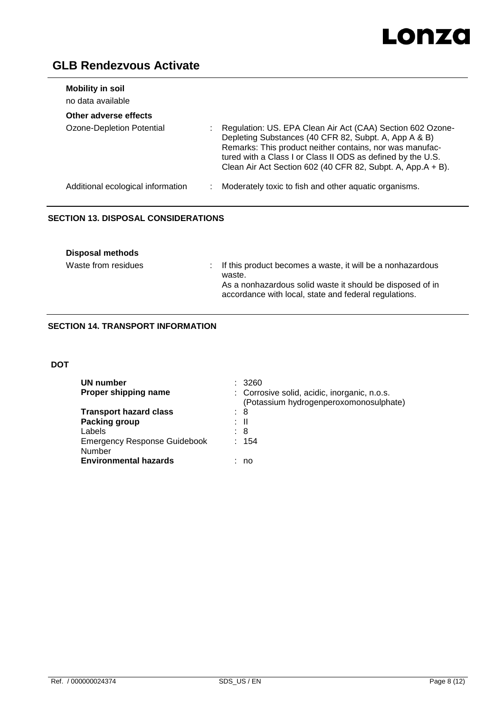

| <b>Mobility in soil</b><br>no data available |                                                                                                                                                                                                                                                                                                               |
|----------------------------------------------|---------------------------------------------------------------------------------------------------------------------------------------------------------------------------------------------------------------------------------------------------------------------------------------------------------------|
| Other adverse effects                        |                                                                                                                                                                                                                                                                                                               |
| Ozone-Depletion Potential                    | Regulation: US. EPA Clean Air Act (CAA) Section 602 Ozone-<br>Depleting Substances (40 CFR 82, Subpt. A, App A & B)<br>Remarks: This product neither contains, nor was manufac-<br>tured with a Class I or Class II ODS as defined by the U.S.<br>Clean Air Act Section 602 (40 CFR 82, Subpt. A, App.A + B). |
| Additional ecological information            | Moderately toxic to fish and other aquatic organisms.                                                                                                                                                                                                                                                         |

# **SECTION 13. DISPOSAL CONSIDERATIONS**

| <b>Disposal methods</b> |                                                                                                                                                                                              |
|-------------------------|----------------------------------------------------------------------------------------------------------------------------------------------------------------------------------------------|
| Waste from residues     | : If this product becomes a waste, it will be a nonhazardous<br>waste.<br>As a nonhazardous solid waste it should be disposed of in<br>accordance with local, state and federal regulations. |

# **SECTION 14. TRANSPORT INFORMATION**

## **DOT**

| UN number<br>Proper shipping name   | 3260<br>: Corrosive solid, acidic, inorganic, n.o.s.<br>(Potassium hydrogenperoxomonosulphate) |
|-------------------------------------|------------------------------------------------------------------------------------------------|
| <b>Transport hazard class</b>       | : 8                                                                                            |
| Packing group                       | : II                                                                                           |
| Labels                              | : 8                                                                                            |
| <b>Emergency Response Guidebook</b> | 154<br>÷                                                                                       |
| Number                              |                                                                                                |
| <b>Environmental hazards</b>        | : no                                                                                           |
|                                     |                                                                                                |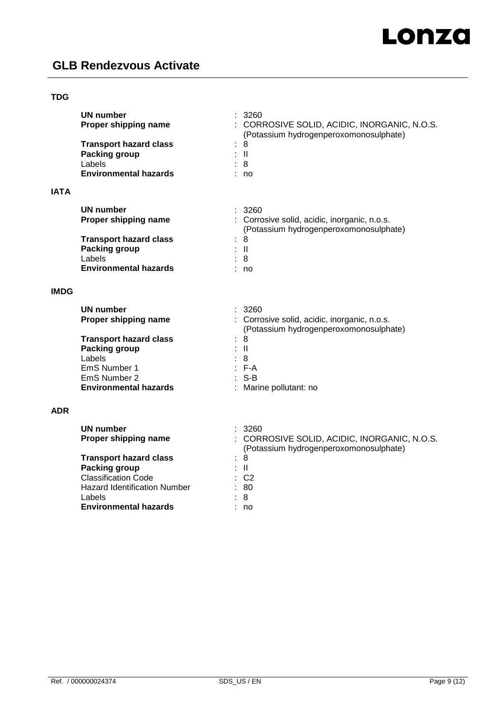# **TDG**

| 3260<br>UN number<br>Proper shipping name<br>: Corrosive solid, acidic, inorganic, n.o.s.<br>(Potassium hydrogenperoxomonosulphate)<br><b>Transport hazard class</b><br>8<br>$\mathbf{H}$<br><b>Packing group</b><br>8<br>Labels<br><b>Environmental hazards</b><br>no<br><b>IMDG</b><br>: 3260<br><b>UN number</b><br>Proper shipping name<br>: Corrosive solid, acidic, inorganic, n.o.s.<br>(Potassium hydrogenperoxomonosulphate)<br><b>Transport hazard class</b><br>8<br><b>Packing group</b><br>$\mathbf{H}$<br>Labels<br>8<br>$: F-A$<br>EmS Number 1<br>EmS Number 2<br>$S-B$<br><b>Environmental hazards</b><br>Marine pollutant: no<br><b>ADR</b><br>UN number<br>3260<br>Proper shipping name<br>: CORROSIVE SOLID, ACIDIC, INORGANIC, N.O.S.<br>(Potassium hydrogenperoxomonosulphate)<br><b>Transport hazard class</b><br>8<br><b>Packing group</b><br>$\mathbf{II}$<br><b>Classification Code</b><br>$\therefore$ C2<br><b>Hazard Identification Number</b><br>80<br>Labels<br>8<br><b>Environmental hazards</b><br>no | <b>IATA</b> | UN number<br>Proper shipping name<br><b>Transport hazard class</b><br><b>Packing group</b><br>Labels<br><b>Environmental hazards</b> | 3260<br>: CORROSIVE SOLID, ACIDIC, INORGANIC, N.O.S.<br>(Potassium hydrogenperoxomonosulphate)<br>8<br>$\mathbf{I}$<br>8<br>no |
|---------------------------------------------------------------------------------------------------------------------------------------------------------------------------------------------------------------------------------------------------------------------------------------------------------------------------------------------------------------------------------------------------------------------------------------------------------------------------------------------------------------------------------------------------------------------------------------------------------------------------------------------------------------------------------------------------------------------------------------------------------------------------------------------------------------------------------------------------------------------------------------------------------------------------------------------------------------------------------------------------------------------------------------|-------------|--------------------------------------------------------------------------------------------------------------------------------------|--------------------------------------------------------------------------------------------------------------------------------|
|                                                                                                                                                                                                                                                                                                                                                                                                                                                                                                                                                                                                                                                                                                                                                                                                                                                                                                                                                                                                                                       |             |                                                                                                                                      |                                                                                                                                |
|                                                                                                                                                                                                                                                                                                                                                                                                                                                                                                                                                                                                                                                                                                                                                                                                                                                                                                                                                                                                                                       |             |                                                                                                                                      |                                                                                                                                |
|                                                                                                                                                                                                                                                                                                                                                                                                                                                                                                                                                                                                                                                                                                                                                                                                                                                                                                                                                                                                                                       |             |                                                                                                                                      |                                                                                                                                |
|                                                                                                                                                                                                                                                                                                                                                                                                                                                                                                                                                                                                                                                                                                                                                                                                                                                                                                                                                                                                                                       |             |                                                                                                                                      |                                                                                                                                |
|                                                                                                                                                                                                                                                                                                                                                                                                                                                                                                                                                                                                                                                                                                                                                                                                                                                                                                                                                                                                                                       |             |                                                                                                                                      |                                                                                                                                |
|                                                                                                                                                                                                                                                                                                                                                                                                                                                                                                                                                                                                                                                                                                                                                                                                                                                                                                                                                                                                                                       |             |                                                                                                                                      |                                                                                                                                |
|                                                                                                                                                                                                                                                                                                                                                                                                                                                                                                                                                                                                                                                                                                                                                                                                                                                                                                                                                                                                                                       |             |                                                                                                                                      |                                                                                                                                |
|                                                                                                                                                                                                                                                                                                                                                                                                                                                                                                                                                                                                                                                                                                                                                                                                                                                                                                                                                                                                                                       |             |                                                                                                                                      |                                                                                                                                |
|                                                                                                                                                                                                                                                                                                                                                                                                                                                                                                                                                                                                                                                                                                                                                                                                                                                                                                                                                                                                                                       |             |                                                                                                                                      |                                                                                                                                |
|                                                                                                                                                                                                                                                                                                                                                                                                                                                                                                                                                                                                                                                                                                                                                                                                                                                                                                                                                                                                                                       |             |                                                                                                                                      |                                                                                                                                |
|                                                                                                                                                                                                                                                                                                                                                                                                                                                                                                                                                                                                                                                                                                                                                                                                                                                                                                                                                                                                                                       |             |                                                                                                                                      |                                                                                                                                |
|                                                                                                                                                                                                                                                                                                                                                                                                                                                                                                                                                                                                                                                                                                                                                                                                                                                                                                                                                                                                                                       |             |                                                                                                                                      |                                                                                                                                |
|                                                                                                                                                                                                                                                                                                                                                                                                                                                                                                                                                                                                                                                                                                                                                                                                                                                                                                                                                                                                                                       |             |                                                                                                                                      |                                                                                                                                |
|                                                                                                                                                                                                                                                                                                                                                                                                                                                                                                                                                                                                                                                                                                                                                                                                                                                                                                                                                                                                                                       |             |                                                                                                                                      |                                                                                                                                |
|                                                                                                                                                                                                                                                                                                                                                                                                                                                                                                                                                                                                                                                                                                                                                                                                                                                                                                                                                                                                                                       |             |                                                                                                                                      |                                                                                                                                |
|                                                                                                                                                                                                                                                                                                                                                                                                                                                                                                                                                                                                                                                                                                                                                                                                                                                                                                                                                                                                                                       |             |                                                                                                                                      |                                                                                                                                |
|                                                                                                                                                                                                                                                                                                                                                                                                                                                                                                                                                                                                                                                                                                                                                                                                                                                                                                                                                                                                                                       |             |                                                                                                                                      |                                                                                                                                |
|                                                                                                                                                                                                                                                                                                                                                                                                                                                                                                                                                                                                                                                                                                                                                                                                                                                                                                                                                                                                                                       |             |                                                                                                                                      |                                                                                                                                |
|                                                                                                                                                                                                                                                                                                                                                                                                                                                                                                                                                                                                                                                                                                                                                                                                                                                                                                                                                                                                                                       |             |                                                                                                                                      |                                                                                                                                |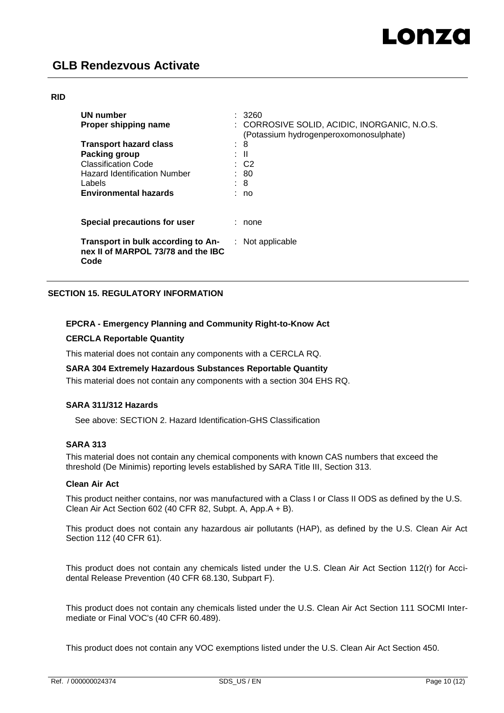#### **RID**

| UN number<br>Proper shipping name                                                |   | 3260<br>CORROSIVE SOLID, ACIDIC, INORGANIC, N.O.S.<br>(Potassium hydrogenperoxomonosulphate) |
|----------------------------------------------------------------------------------|---|----------------------------------------------------------------------------------------------|
| <b>Transport hazard class</b>                                                    | ٠ | 8                                                                                            |
| Packing group                                                                    |   | - 11                                                                                         |
| <b>Classification Code</b>                                                       |   | : C2                                                                                         |
| <b>Hazard Identification Number</b>                                              |   | : 80                                                                                         |
| Labels                                                                           |   | : 8                                                                                          |
| <b>Environmental hazards</b>                                                     |   | no                                                                                           |
| Special precautions for user                                                     |   | none                                                                                         |
| Transport in bulk according to An-<br>nex II of MARPOL 73/78 and the IBC<br>Code |   | $:$ Not applicable                                                                           |

# **SECTION 15. REGULATORY INFORMATION**

## **EPCRA - Emergency Planning and Community Right-to-Know Act**

## **CERCLA Reportable Quantity**

This material does not contain any components with a CERCLA RQ.

#### **SARA 304 Extremely Hazardous Substances Reportable Quantity**

This material does not contain any components with a section 304 EHS RQ.

## **SARA 311/312 Hazards**

See above: SECTION 2. Hazard Identification-GHS Classification

#### **SARA 313**

This material does not contain any chemical components with known CAS numbers that exceed the threshold (De Minimis) reporting levels established by SARA Title III, Section 313.

#### **Clean Air Act**

This product neither contains, nor was manufactured with a Class I or Class II ODS as defined by the U.S. Clean Air Act Section 602 (40 CFR 82, Subpt. A, App.A + B).

This product does not contain any hazardous air pollutants (HAP), as defined by the U.S. Clean Air Act Section 112 (40 CFR 61).

This product does not contain any chemicals listed under the U.S. Clean Air Act Section 112(r) for Accidental Release Prevention (40 CFR 68.130, Subpart F).

This product does not contain any chemicals listed under the U.S. Clean Air Act Section 111 SOCMI Intermediate or Final VOC's (40 CFR 60.489).

This product does not contain any VOC exemptions listed under the U.S. Clean Air Act Section 450.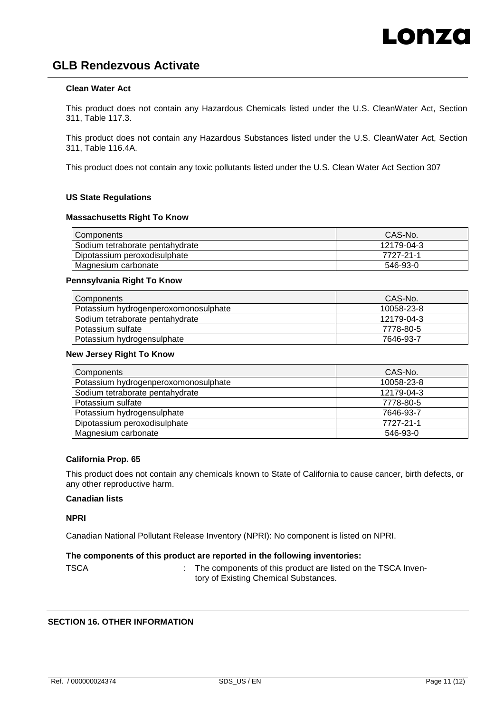## **Clean Water Act**

This product does not contain any Hazardous Chemicals listed under the U.S. CleanWater Act, Section 311, Table 117.3.

This product does not contain any Hazardous Substances listed under the U.S. CleanWater Act, Section 311, Table 116.4A.

This product does not contain any toxic pollutants listed under the U.S. Clean Water Act Section 307

## **US State Regulations**

#### **Massachusetts Right To Know**

| Components                      | CAS-No.    |
|---------------------------------|------------|
| Sodium tetraborate pentahydrate | 12179-04-3 |
| Dipotassium peroxodisulphate    | 7727-21-1  |
| Magnesium carbonate             | 546-93-0   |

#### **Pennsylvania Right To Know**

| Components                           | CAS-No.    |
|--------------------------------------|------------|
| Potassium hydrogenperoxomonosulphate | 10058-23-8 |
| Sodium tetraborate pentahydrate      | 12179-04-3 |
| Potassium sulfate                    | 7778-80-5  |
| Potassium hydrogensulphate           | 7646-93-7  |

#### **New Jersey Right To Know**

| Components                           | CAS-No.    |
|--------------------------------------|------------|
| Potassium hydrogenperoxomonosulphate | 10058-23-8 |
| Sodium tetraborate pentahydrate      | 12179-04-3 |
| Potassium sulfate                    | 7778-80-5  |
| Potassium hydrogensulphate           | 7646-93-7  |
| Dipotassium peroxodisulphate         | 7727-21-1  |
| Magnesium carbonate                  | 546-93-0   |

## **California Prop. 65**

This product does not contain any chemicals known to State of California to cause cancer, birth defects, or any other reproductive harm.

## **Canadian lists**

**NPRI**

Canadian National Pollutant Release Inventory (NPRI): No component is listed on NPRI.

## **The components of this product are reported in the following inventories:**

: The components of this product are listed on the TSCA Inventory of Existing Chemical Substances.

## **SECTION 16. OTHER INFORMATION**